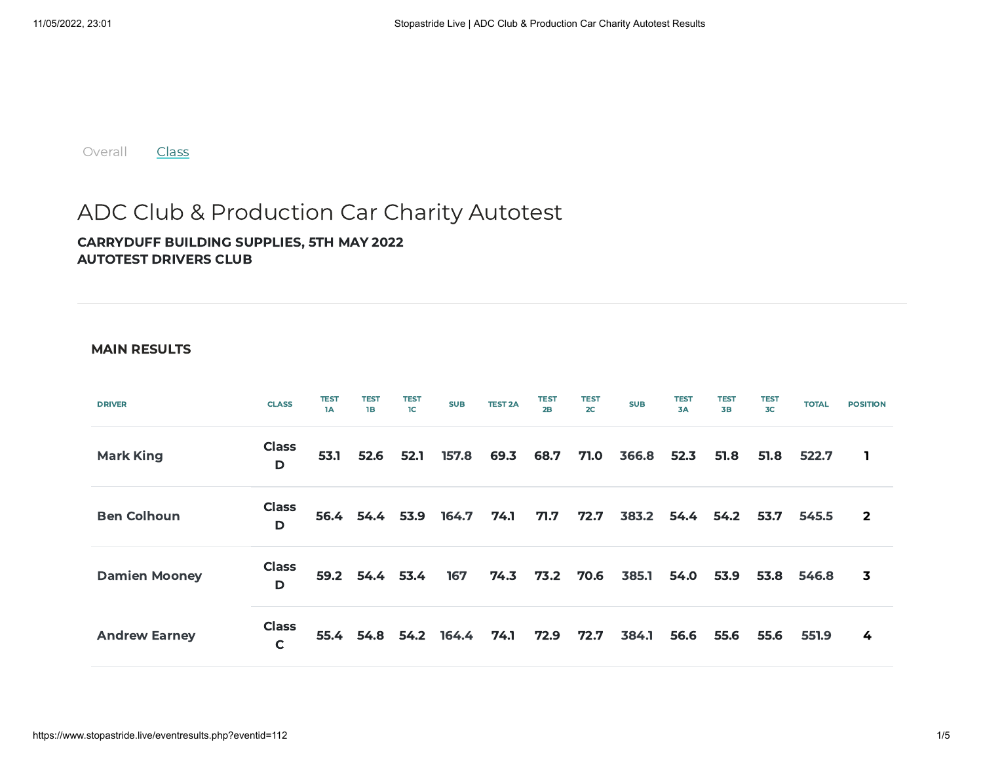[Overall](https://www.stopastride.live/eventresults.php?eventid=112) **[Class](https://www.stopastride.live/classresults.php?eventid=112)** 

## ADC Club & Production Car Charity Autotest

## CARRYDUFF BUILDING SUPPLIES, 5TH MAY 2022 AUTOTEST DRIVERS CLUB

## MAIN RESULTS

| <b>DRIVER</b>        | <b>CLASS</b>      | <b>TEST</b><br>1A | <b>TEST</b><br>1B    | <b>TEST</b><br>1 <sup>C</sup> | <b>SUB</b> | <b>TEST 2A</b> | <b>TEST</b><br>2B | <b>TEST</b><br>2C | <b>SUB</b> | <b>TEST</b><br>3A | <b>TEST</b><br><b>3B</b> | <b>TEST</b><br>3 <sub>C</sub> | <b>TOTAL</b> | <b>POSITION</b>         |
|----------------------|-------------------|-------------------|----------------------|-------------------------------|------------|----------------|-------------------|-------------------|------------|-------------------|--------------------------|-------------------------------|--------------|-------------------------|
| <b>Mark King</b>     | <b>Class</b><br>D | 53.1              | 52.6                 | 52.1                          | 157.8      | 69.3           | 68.7              | 71.0              | 366.8      | 52.3              | 51.8                     | 51.8                          | 522.7        | 1                       |
| <b>Ben Colhoun</b>   | <b>Class</b><br>D |                   | 56.4 54.4 53.9       |                               | 164.7      | 74.1           | 71.7              | 72.7              | 383.2      | 54.4              | 54.2                     | 53.7                          | 545.5        | $\overline{2}$          |
| <b>Damien Mooney</b> | <b>Class</b><br>D | 59.2              | 54.4 53.4            |                               | 167        | 74.3           | 73.2              | 70.6              | 385.1      | 54.0              | 53.9                     | 53.8                          | 546.8        | $\overline{\mathbf{3}}$ |
| <b>Andrew Earney</b> | <b>Class</b><br>C |                   | 55.4 54.8 54.2 164.4 |                               |            | 74.1           | 72.9              | 72.7              | 384.1      | 56.6              | 55.6                     | 55.6                          | 551.9        | 4                       |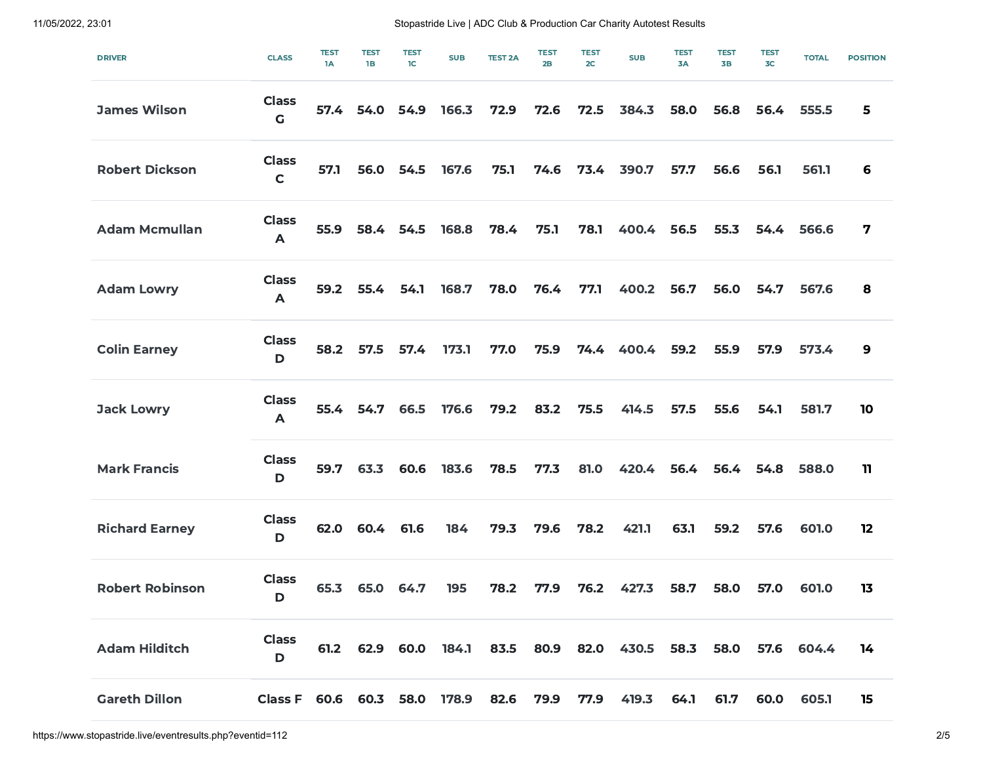11/05/2022, 23:01 Stopastride Live | ADC Club & Production Car Charity Autotest Results

| <b>DRIVER</b>          | <b>CLASS</b>                 | <b>TEST</b><br>1A | <b>TEST</b><br><b>1B</b> | <b>TEST</b><br>1C | <b>SUB</b> | <b>TEST 2A</b> | <b>TEST</b><br>2B | <b>TEST</b><br>2C | <b>SUB</b>                                     | <b>TEST</b><br>3A | <b>TEST</b><br><b>3B</b> | <b>TEST</b><br>3 <sub>C</sub> | <b>TOTAL</b> | <b>POSITION</b> |
|------------------------|------------------------------|-------------------|--------------------------|-------------------|------------|----------------|-------------------|-------------------|------------------------------------------------|-------------------|--------------------------|-------------------------------|--------------|-----------------|
| <b>James Wilson</b>    | <b>Class</b><br>$\mathsf G$  | 57.4              | 54.0                     | 54.9              | 166.3      | 72.9           | 72.6              | 72.5              | 384.3                                          | 58.0              | 56.8                     | 56.4                          | 555.5        | 5               |
| <b>Robert Dickson</b>  | <b>Class</b><br>$\mathsf{C}$ | 57.1              | 56.0                     | 54.5              | 167.6      | 75.1           | 74.6              | 73.4              | 390.7                                          | 57.7              | 56.6                     | 56.1                          | 561.1        | 6               |
| <b>Adam Mcmullan</b>   | <b>Class</b><br>A            | 55.9              | 58.4                     | 54.5              | 168.8      | 78.4           | 75.1              | 78.1              | 400.4                                          | 56.5              | 55.3                     | 54.4                          | 566.6        | 7               |
| <b>Adam Lowry</b>      | <b>Class</b><br>A            | 59.2              | 55.4                     | 54.1              | 168.7      | 78.0           | 76.4              | 77.1              | 400.2                                          | 56.7              | 56.0                     | 54.7                          | 567.6        | 8               |
| <b>Colin Earney</b>    | <b>Class</b><br>D            | 58.2              | 57.5                     | 57.4              | 173.1      | 77.0           | 75.9              | 74.4              | 400.4                                          | 59.2              | 55.9                     | 57.9                          | 573.4        | 9               |
| <b>Jack Lowry</b>      | <b>Class</b><br>$\mathsf{A}$ | 55.4              | 54.7                     | 66.5              | 176.6      | 79.2           | 83.2              | 75.5              | 414.5                                          | 57.5              | 55.6                     | 54.1                          | 581.7        | 10              |
| <b>Mark Francis</b>    | <b>Class</b><br>D            | 59.7              | 63.3                     | 60.6              | 183.6      | 78.5           | 77.3              | 81.0              | 420.4                                          | 56.4              | 56.4                     | 54.8                          | 588.0        | 11              |
| <b>Richard Earney</b>  | <b>Class</b><br>D            | 62.0              | 60.4                     | 61.6              | 184        | 79.3           | 79.6              | 78.2              | 421.1                                          | 63.1              | 59.2                     | 57.6                          | 601.0        | 12              |
| <b>Robert Robinson</b> | <b>Class</b><br>D            | 65.3              | 65.0                     | 64.7              | 195        | 78.2           | 77.9              | 76.2              | 427.3                                          | 58.7              | 58.0                     | 57.0                          | 601.0        | 13              |
| <b>Adam Hilditch</b>   | <b>Class</b><br>D            |                   |                          |                   |            |                |                   |                   | 61.2 62.9 60.0 184.1 83.5 80.9 82.0 430.5 58.3 |                   | 58.0                     |                               | 57.6 604.4   | 14              |
| <b>Gareth Dillon</b>   | Class F 60.6 60.3 58.0       |                   |                          |                   | 178.9      | 82.6           | 79.9              | 77.9              | 419.3                                          | 64.1              | 61.7                     | 60.0                          | 605.1        | 15              |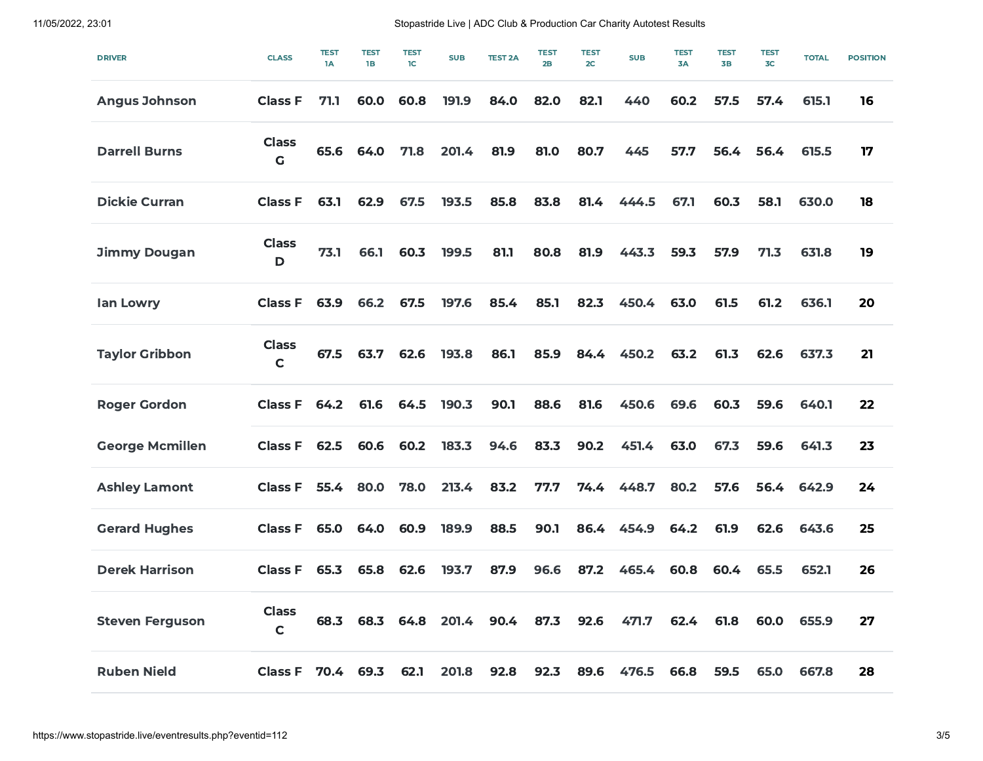11/05/2022, 23:01 Stopastride Live | ADC Club & Production Car Charity Autotest Results

| <b>DRIVER</b>          | <b>CLASS</b>                | <b>TEST</b><br>1A | <b>TEST</b><br>1B | <b>TEST</b><br>1C | <b>SUB</b> | <b>TEST 2A</b> | <b>TEST</b><br>2B | <b>TEST</b><br>2 <sub>C</sub> | <b>SUB</b> | <b>TEST</b><br>3A | <b>TEST</b><br>3B | <b>TEST</b><br>3 <sub>C</sub> | <b>TOTAL</b> | <b>POSITION</b> |
|------------------------|-----------------------------|-------------------|-------------------|-------------------|------------|----------------|-------------------|-------------------------------|------------|-------------------|-------------------|-------------------------------|--------------|-----------------|
| <b>Angus Johnson</b>   | <b>Class F</b>              | 71.1              | 60.0              | 60.8              | 191.9      | 84.0           | 82.0              | 82.1                          | 440        | 60.2              | 57.5              | 57.4                          | 615.1        | 16              |
| <b>Darrell Burns</b>   | <b>Class</b><br>$\mathbf G$ | 65.6              | 64.0              | 71.8              | 201.4      | 81.9           | 81.0              | 80.7                          | 445        | 57.7              | 56.4              | 56.4                          | 615.5        | 17              |
| <b>Dickie Curran</b>   | <b>Class F</b>              | 63.1              | 62.9              | 67.5              | 193.5      | 85.8           | 83.8              | 81.4                          | 444.5      | 67.1              | 60.3              | 58.1                          | 630.0        | 18              |
| <b>Jimmy Dougan</b>    | <b>Class</b><br>D           | 73.1              | 66.1              | 60.3              | 199.5      | 81.1           | 80.8              | 81.9                          | 443.3      | 59.3              | 57.9              | 71.3                          | 631.8        | 19              |
| lan Lowry              | <b>Class F</b>              | 63.9              | 66.2              | 67.5              | 197.6      | 85.4           | 85.1              | 82.3                          | 450.4      | 63.0              | 61.5              | 61.2                          | 636.1        | 20              |
| <b>Taylor Gribbon</b>  | <b>Class</b><br>$\mathbf C$ | 67.5              | 63.7              | 62.6              | 193.8      | 86.1           | 85.9              | 84.4                          | 450.2      | 63.2              | 61.3              | 62.6                          | 637.3        | 21              |
| <b>Roger Gordon</b>    | <b>Class F</b>              | 64.2              | 61.6              | 64.5              | 190.3      | 90.1           | 88.6              | 81.6                          | 450.6      | 69.6              | 60.3              | 59.6                          | 640.1        | 22              |
| <b>George Mcmillen</b> | <b>Class F</b>              | 62.5              | 60.6              | 60.2              | 183.3      | 94.6           | 83.3              | 90.2                          | 451.4      | 63.0              | 67.3              | 59.6                          | 641.3        | 23              |
| <b>Ashley Lamont</b>   | <b>Class F</b>              | 55.4              | 80.0              | 78.0              | 213.4      | 83.2           | 77.7              | 74.4                          | 448.7      | 80.2              | 57.6              | 56.4                          | 642.9        | 24              |
| <b>Gerard Hughes</b>   | <b>Class F</b>              | 65.0              | 64.0              | 60.9              | 189.9      | 88.5           | 90.1              | 86.4                          | 454.9      | 64.2              | 61.9              | 62.6                          | 643.6        | 25              |
| <b>Derek Harrison</b>  | <b>Class F</b>              | 65.3              | 65.8              | 62.6              | 193.7      | 87.9           | 96.6              | 87.2                          | 465.4      | 60.8              | 60.4              | 65.5                          | 652.1        | 26              |
| <b>Steven Ferguson</b> | <b>Class</b><br>$\mathbf C$ | 68.3              | 68.3              | 64.8              | 201.4      | 90.4           | 87.3              | 92.6                          | 471.7      | 62.4              | 61.8              | 60.0                          | 655.9        | 27              |
| <b>Ruben Nield</b>     | <b>Class F</b>              | 70.4              | 69.3              | 62.1              | 201.8      | 92.8           | 92.3              | 89.6                          | 476.5      | 66.8              | 59.5              | 65.0                          | 667.8        | 28              |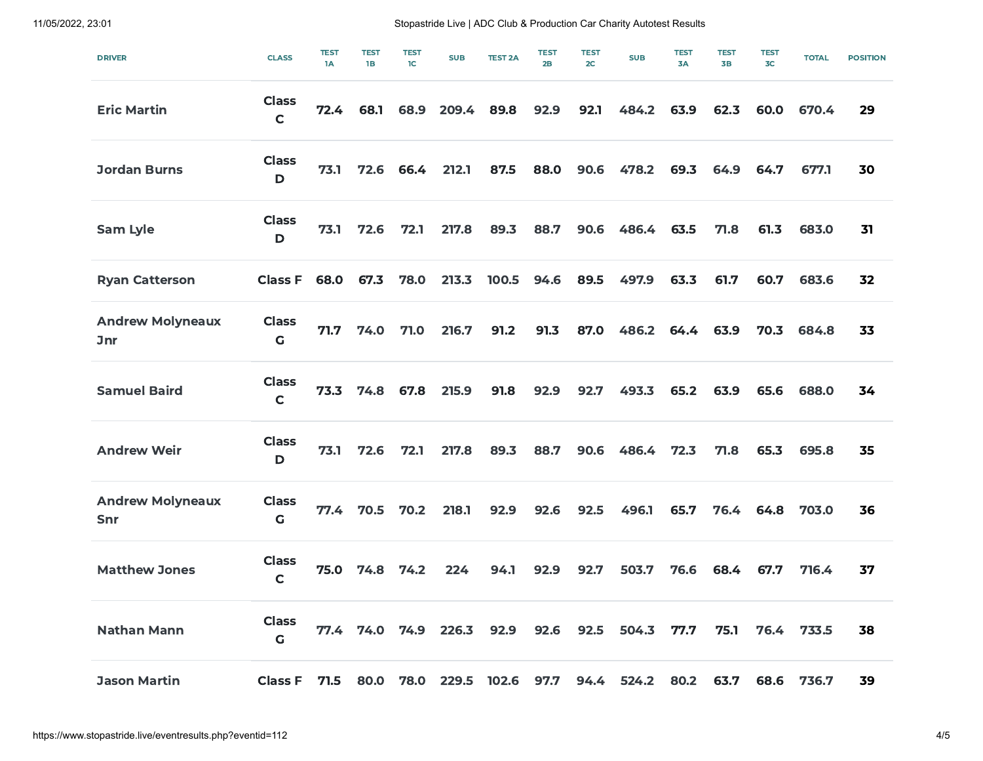11/05/2022, 23:01 Stopastride Live | ADC Club & Production Car Charity Autotest Results

| <b>DRIVER</b>                         | <b>CLASS</b>                 | <b>TEST</b><br>1A | <b>TEST</b><br>1B | <b>TEST</b><br>1 <sup>C</sup> | <b>SUB</b> | <b>TEST 2A</b> | <b>TEST</b><br>2B | <b>TEST</b><br>2C | <b>SUB</b> | <b>TEST</b><br>3A | <b>TEST</b><br>3B | <b>TEST</b><br>3 <sub>C</sub> | <b>TOTAL</b> | <b>POSITION</b> |
|---------------------------------------|------------------------------|-------------------|-------------------|-------------------------------|------------|----------------|-------------------|-------------------|------------|-------------------|-------------------|-------------------------------|--------------|-----------------|
| <b>Eric Martin</b>                    | <b>Class</b><br>$\mathbf C$  | 72.4              | 68.1              | 68.9                          | 209.4      | 89.8           | 92.9              | 92.1              | 484.2      | 63.9              | 62.3              | 60.0                          | 670.4        | 29              |
| <b>Jordan Burns</b>                   | <b>Class</b><br>$\mathbf D$  | 73.1              | 72.6              | 66.4                          | 212.1      | 87.5           | 88.0              | 90.6              | 478.2      | 69.3              | 64.9              | 64.7                          | 677.1        | 30              |
| Sam Lyle                              | <b>Class</b><br>$\mathbf D$  | 73.1              | 72.6              | 72.1                          | 217.8      | 89.3           | 88.7              | 90.6              | 486.4      | 63.5              | 71.8              | 61.3                          | 683.0        | 31              |
| <b>Ryan Catterson</b>                 | <b>Class F</b>               | 68.0              | 67.3              | 78.0                          | 213.3      | 100.5          | 94.6              | 89.5              | 497.9      | 63.3              | 61.7              | 60.7                          | 683.6        | 32              |
| <b>Andrew Molyneaux</b><br><b>Jnr</b> | <b>Class</b><br>$\mathsf{G}$ | 71.7              | 74.0              | 71.0                          | 216.7      | 91.2           | 91.3              | 87.0              | 486.2      | 64.4              | 63.9              | 70.3                          | 684.8        | 33              |
| <b>Samuel Baird</b>                   | <b>Class</b><br>$\mathbf C$  | 73.3              | 74.8              | 67.8                          | 215.9      | 91.8           | 92.9              | 92.7              | 493.3      | 65.2              | 63.9              | 65.6                          | 688.0        | 34              |
| <b>Andrew Weir</b>                    | <b>Class</b><br>$\mathbf D$  | 73.1              | 72.6              | 72.1                          | 217.8      | 89.3           | 88.7              | 90.6              | 486.4      | 72.3              | 71.8              | 65.3                          | 695.8        | 35              |
| <b>Andrew Molyneaux</b><br>Snr        | <b>Class</b><br>$\mathbf G$  | 77.4              | 70.5              | 70.2                          | 218.1      | 92.9           | 92.6              | 92.5              | 496.1      | 65.7              | 76.4              | 64.8                          | 703.0        | 36              |
| <b>Matthew Jones</b>                  | <b>Class</b><br>$\mathbf C$  | 75.0              | 74.8              | 74.2                          | 224        | 94.1           | 92.9              | 92.7              | 503.7      | 76.6              | 68.4              | 67.7                          | 716.4        | 37              |
| <b>Nathan Mann</b>                    | <b>Class</b><br>G            | 77.4              | 74.0              | 74.9                          | 226.3      | 92.9           | 92.6              | 92.5              | 504.3      | 77.7              | 75.1              | 76.4                          | 733.5        | 38              |
| <b>Jason Martin</b>                   | <b>Class F</b>               | 71.5              | 80.0              | 78.0                          | 229.5      | 102.6          | 97.7              | 94.4              | 524.2      | 80.2              | 63.7              | 68.6                          | 736.7        | 39              |